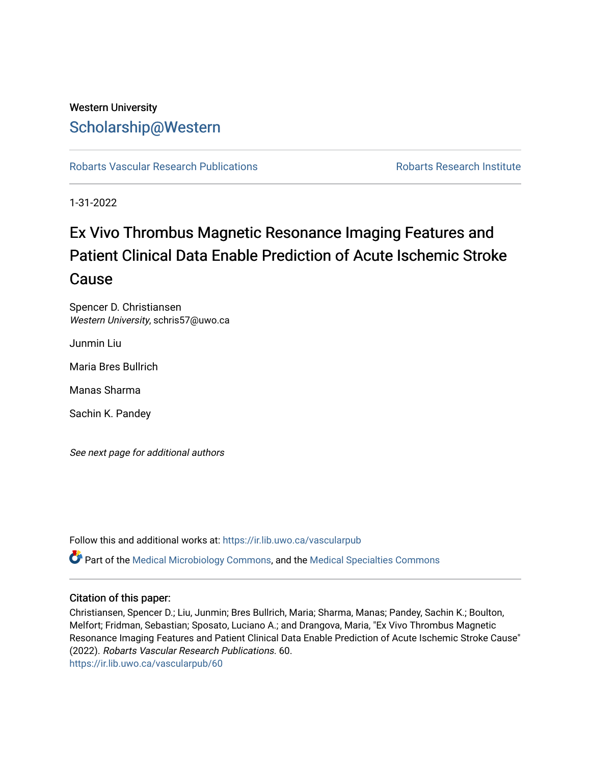## Western University [Scholarship@Western](https://ir.lib.uwo.ca/)

[Robarts Vascular Research Publications](https://ir.lib.uwo.ca/vascularpub) **Robarts Research Institute** Robarts Research Institute

1-31-2022

# Ex Vivo Thrombus Magnetic Resonance Imaging Features and Patient Clinical Data Enable Prediction of Acute Ischemic Stroke Cause

Spencer D. Christiansen Western University, schris57@uwo.ca

Junmin Liu

Maria Bres Bullrich

Manas Sharma

Sachin K. Pandey

See next page for additional authors

Follow this and additional works at: [https://ir.lib.uwo.ca/vascularpub](https://ir.lib.uwo.ca/vascularpub?utm_source=ir.lib.uwo.ca%2Fvascularpub%2F60&utm_medium=PDF&utm_campaign=PDFCoverPages)

Part of the [Medical Microbiology Commons](http://network.bepress.com/hgg/discipline/672?utm_source=ir.lib.uwo.ca%2Fvascularpub%2F60&utm_medium=PDF&utm_campaign=PDFCoverPages), and the [Medical Specialties Commons](http://network.bepress.com/hgg/discipline/680?utm_source=ir.lib.uwo.ca%2Fvascularpub%2F60&utm_medium=PDF&utm_campaign=PDFCoverPages) 

### Citation of this paper:

Christiansen, Spencer D.; Liu, Junmin; Bres Bullrich, Maria; Sharma, Manas; Pandey, Sachin K.; Boulton, Melfort; Fridman, Sebastian; Sposato, Luciano A.; and Drangova, Maria, "Ex Vivo Thrombus Magnetic Resonance Imaging Features and Patient Clinical Data Enable Prediction of Acute Ischemic Stroke Cause" (2022). Robarts Vascular Research Publications. 60. [https://ir.lib.uwo.ca/vascularpub/60](https://ir.lib.uwo.ca/vascularpub/60?utm_source=ir.lib.uwo.ca%2Fvascularpub%2F60&utm_medium=PDF&utm_campaign=PDFCoverPages)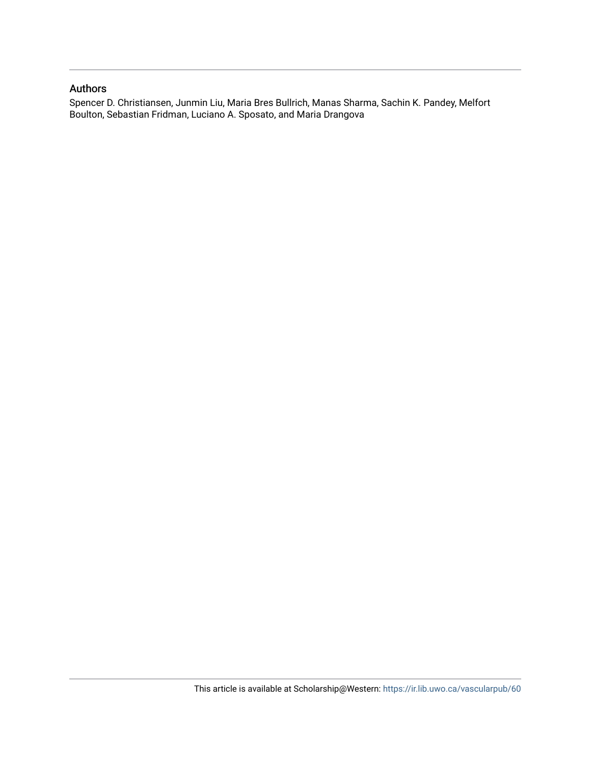### Authors

Spencer D. Christiansen, Junmin Liu, Maria Bres Bullrich, Manas Sharma, Sachin K. Pandey, Melfort Boulton, Sebastian Fridman, Luciano A. Sposato, and Maria Drangova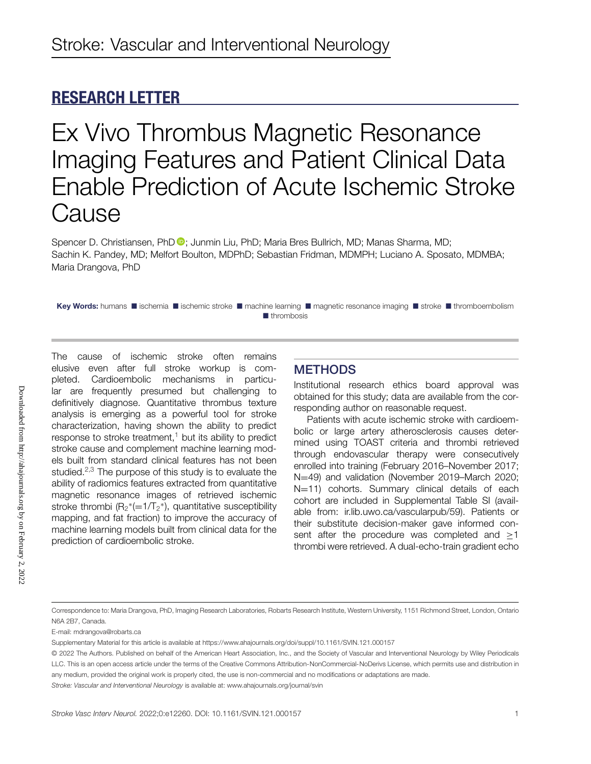## **RESEARCH LETTER**

Ex Vivo Thrombus Magnetic Resonance Imaging Features and Patient Clinical Data Enable Prediction of Acute Ischemic Stroke **Cause** 

Spencer D. Christiansen, PhD <sup>®</sup>[;](https://orcid.org/0000-0002-9497-6789) Junmin Liu, PhD; Maria Bres Bullrich, MD; Manas Sharma, MD; Sachin K. Pandey, MD; Melfort Boulton, MDPhD; Sebastian Fridman, MDMPH; Luciano A. Sposato, MDMBA; Maria Drangova, PhD

Key Words: humans **I** ischemia **E** ischemic stroke **E** machine learning **E** magnetic resonance imaging **E** stroke E thromboembolism **I**thrombosis

The cause of ischemic stroke often remains elusive even after full stroke workup is completed. Cardioembolic mechanisms in particular are frequently presumed but challenging to definitively diagnose. Quantitative thrombus texture analysis is emerging as a powerful tool for stroke characterization, having shown the ability to predict response to stroke treatment, $1$  but its ability to predict stroke cause and complement machine learning models built from standard clinical features has not been studied. $2,3$  The purpose of this study is to evaluate the ability of radiomics features extracted from quantitative magnetic resonance images of retrieved ischemic stroke thrombi ( $R_2^*$ (=1/T<sub>2</sub>\*), quantitative susceptibility mapping, and fat fraction) to improve the accuracy of machine learning models built from clinical data for the prediction of cardioembolic stroke.

## **METHODS**

Institutional research ethics board approval was obtained for this study; data are available from the corresponding author on reasonable request.

Patients with acute ischemic stroke with cardioembolic or large artery atherosclerosis causes determined using TOAST criteria and thrombi retrieved through endovascular therapy were consecutively enrolled into training (February 2016–November 2017; N=49) and validation (November 2019–March 2020; N=11) cohorts. Summary clinical details of each cohort are included in Supplemental Table SI (available from: ir.lib.uwo.ca/vascularpub/59). Patients or their substitute decision-maker gave informed consent after the procedure was completed and >1 thrombi were retrieved. A dual-echo-train gradient echo

Correspondence to: Maria Drangova, PhD, Imaging Research Laboratories, Robarts Research Institute, Western University, 1151 Richmond Street, London, Ontario N6A 2B7, Canada.

E-mail: mdrangova@robarts.ca

*Stroke: Vascular and Interventional Neurology* is available at: www.ahajournals.org/journal/svin

Supplementary Material for this article is available at<https://www.ahajournals.org/doi/suppl/10.1161/SVIN.121.000157>

<sup>© 2022</sup> The Authors. Published on behalf of the American Heart Association, Inc., and the Society of Vascular and Interventional Neurology by Wiley Periodicals LLC. This is an open access article under the terms of the [Creative Commons Attribution-NonCommercial-NoDerivs](http://creativecommons.org/licenses/by-nc-nd/4.0/) License, which permits use and distribution in any medium, provided the original work is properly cited, the use is non-commercial and no modifications or adaptations are made.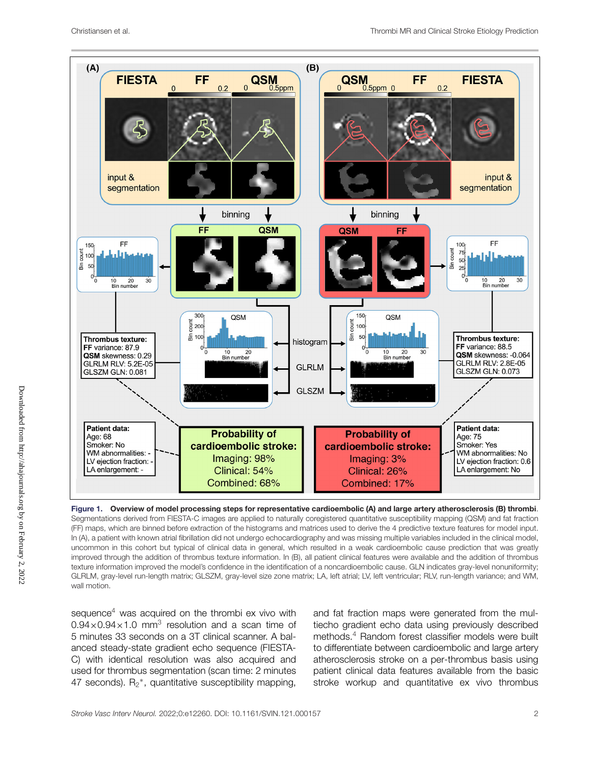

**Figure 1. Overview of model processing steps for representative cardioembolic (A) and large artery atherosclerosis (B) thrombi**. Segmentations derived from FIESTA-C images are applied to naturally coregistered quantitative susceptibility mapping (QSM) and fat fraction (FF) maps, which are binned before extraction of the histograms and matrices used to derive the 4 predictive texture features for model input. In (A), a patient with known atrial fibrillation did not undergo echocardiography and was missing multiple variables included in the clinical model, uncommon in this cohort but typical of clinical data in general, which resulted in a weak cardioembolic cause prediction that was greatly improved through the addition of thrombus texture information. In (B), all patient clinical features were available and the addition of thrombus texture information improved the model's confidence in the identification of a noncardioembolic cause. GLN indicates gray-level nonuniformity; GLRLM, gray-level run-length matrix; GLSZM, gray-level size zone matrix; LA, left atrial; LV, left ventricular; RLV, run-length variance; and WM, wall motion.

sequence $4$  was acquired on the thrombi ex vivo with  $0.94\times0.94\times1.0$  mm<sup>3</sup> resolution and a scan time of 5 minutes 33 seconds on a 3T clinical scanner. A balanced steady-state gradient echo sequence (FIESTA-C) with identical resolution was also acquired and used for thrombus segmentation (scan time: 2 minutes 47 seconds).  $R_2^*$ , quantitative susceptibility mapping,

and fat fraction maps were generated from the multiecho gradient echo data using previously described methods.<sup>4</sup> Random forest classifier models were built to differentiate between cardioembolic and large artery atherosclerosis stroke on a per-thrombus basis using patient clinical data features available from the basic stroke workup and quantitative ex vivo thrombus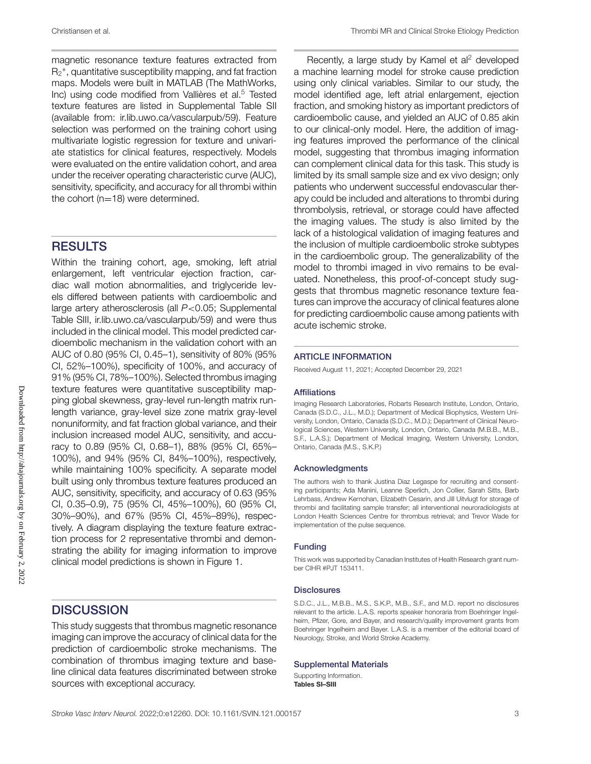magnetic resonance texture features extracted from  $R_2^*$ , quantitative susceptibility mapping, and fat fraction maps. Models were built in MATLAB (The MathWorks, Inc) using code modified from Vallières et al.<sup>5</sup> Tested texture features are listed in Supplemental Table SII (available from: ir.lib.uwo.ca/vascularpub/59). Feature selection was performed on the training cohort using multivariate logistic regression for texture and univariate statistics for clinical features, respectively. Models were evaluated on the entire validation cohort, and area under the receiver operating characteristic curve (AUC), sensitivity, specificity, and accuracy for all thrombi within the cohort  $(n=18)$  were determined.

## **RESULTS**

Within the training cohort, age, smoking, left atrial enlargement, left ventricular ejection fraction, cardiac wall motion abnormalities, and triglyceride levels differed between patients with cardioembolic and large artery atherosclerosis (all *P*<0.05; Supplemental Table SIII, ir.lib.uwo.ca/vascularpub/59) and were thus included in the clinical model. This model predicted cardioembolic mechanism in the validation cohort with an AUC of 0.80 (95% CI, 0.45–1), sensitivity of 80% (95% CI, 52%–100%), specificity of 100%, and accuracy of 91% (95% CI, 78%–100%). Selected thrombus imaging texture features were quantitative susceptibility mapping global skewness, gray-level run-length matrix runlength variance, gray-level size zone matrix gray-level nonuniformity, and fat fraction global variance, and their inclusion increased model AUC, sensitivity, and accuracy to 0.89 (95% CI, 0.68–1), 88% (95% CI, 65%– 100%), and 94% (95% CI, 84%–100%), respectively, while maintaining 100% specificity. A separate model built using only thrombus texture features produced an AUC, sensitivity, specificity, and accuracy of 0.63 (95% CI, 0.35–0.9), 75 (95% CI, 45%–100%), 60 (95% CI, 30%–90%), and 67% (95% CI, 45%–89%), respectively. A diagram displaying the texture feature extraction process for 2 representative thrombi and demonstrating the ability for imaging information to improve clinical model predictions is shown in Figure 1.

## **DISCUSSION**

This study suggests that thrombus magnetic resonance imaging can improve the accuracy of clinical data for the prediction of cardioembolic stroke mechanisms. The combination of thrombus imaging texture and baseline clinical data features discriminated between stroke sources with exceptional accuracy.

Recently, a large study by Kamel et  $al^2$  developed a machine learning model for stroke cause prediction using only clinical variables. Similar to our study, the model identified age, left atrial enlargement, ejection fraction, and smoking history as important predictors of cardioembolic cause, and yielded an AUC of 0.85 akin to our clinical-only model. Here, the addition of imaging features improved the performance of the clinical model, suggesting that thrombus imaging information can complement clinical data for this task. This study is limited by its small sample size and ex vivo design; only patients who underwent successful endovascular therapy could be included and alterations to thrombi during thrombolysis, retrieval, or storage could have affected the imaging values. The study is also limited by the lack of a histological validation of imaging features and the inclusion of multiple cardioembolic stroke subtypes in the cardioembolic group. The generalizability of the model to thrombi imaged in vivo remains to be evaluated. Nonetheless, this proof-of-concept study suggests that thrombus magnetic resonance texture features can improve the accuracy of clinical features alone for predicting cardioembolic cause among patients with acute ischemic stroke.

#### **ARTICLE INFORMATION**

Received August 11, 2021; Accepted December 29, 2021

#### **Affiliations**

Imaging Research Laboratories, Robarts Research Institute, London, Ontario, Canada (S.D.C., J.L., M.D.); Department of Medical Biophysics, Western University, London, Ontario, Canada (S.D.C., M.D.); Department of Clinical Neurological Sciences, Western University, London, Ontario, Canada (M.B.B., M.B., S.F., L.A.S.); Department of Medical Imaging, Western University, London, Ontario, Canada (M.S., S.K.P.)

#### **Acknowledgments**

The authors wish to thank Justina Diaz Legaspe for recruiting and consenting participants; Ada Manini, Leanne Sperlich, Jon Collier, Sarah Sitts, Barb Lehrbass, Andrew Kernohan, Elizabeth Cesarin, and Jill Uitvlugt for storage of thrombi and facilitating sample transfer; all interventional neuroradiologists at London Health Sciences Centre for thrombus retrieval; and Trevor Wade for implementation of the pulse sequence.

#### **Funding**

This work was supported by Canadian Institutes of Health Research grant number CIHR #PJT 153411.

#### **Disclosures**

S.D.C., J.L., M.B.B., M.S., S.K.P., M.B., S.F., and M.D. report no disclosures relevant to the article. L.A.S. reports speaker honoraria from Boehringer Ingelheim, Pfizer, Gore, and Bayer, and research/quality improvement grants from Boehringer Ingelheim and Bayer. L.A.S. is a member of the editorial board of Neurology, Stroke, and World Stroke Academy.

#### **Supplemental Materials**

Supporting Information. **Tables SI–SIII**